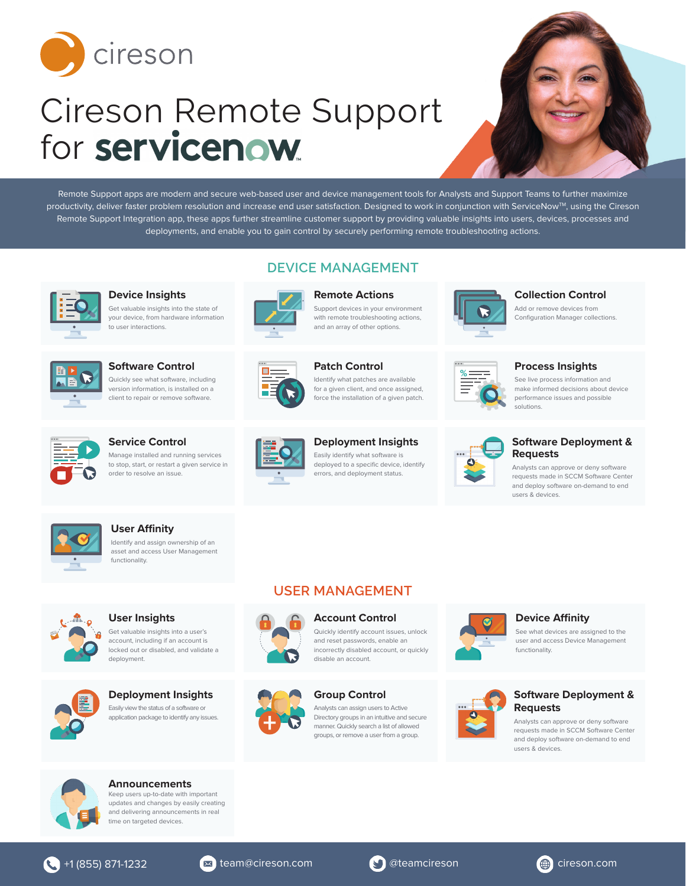

# Cireson Remote Support for servicenow



Remote Support apps are modern and secure web-based user and device management tools for Analysts and Support Teams to further maximize productivity, deliver faster problem resolution and increase end user satisfaction. Designed to work in conjunction with ServiceNow™, using the Cireson Remote Support Integration app, these apps further streamline customer support by providing valuable insights into users, devices, processes and deployments, and enable you to gain control by securely performing remote troubleshooting actions.

**DEVICE MANAGEMENT**



**Device Insights** Get valuable insights into the state of your device, from hardware information to user interactions.



**Software Control** Quickly see what software, including version information, is installed on a client to repair or remove software.



# **Remote Actions**

Support devices in your environment with remote troubleshooting actions. and an array of other options.



#### **Patch Control** Identify what patches are available for a given client, and once assigned,



**Collection Control**

Add or remove devices from Configuration Manager collections.



#### **Process Insights**

See live process information and make informed decisions about device performance issues and possible solutions.



**Service Control** Manage installed and running services to stop, start, or restart a given service in order to resolve an issue.



## **Deployment Insights**

Easily identify what software is deployed to a specific device, identify errors, and deployment status.



#### **Software Deployment & Requests**

Analysts can approve or deny software requests made in SCCM Software Center and deploy software on-demand to end users & devices.



# **User Affinity**

Identify and assign ownership of an asset and access User Management functionality.



**User Insights** Get valuable insights into a user's account, including if an account is locked out or disabled, and validate a deployment.



**Deployment Insights** Easily view the status of a software or application package to identify any issues.





# **Group Control** manner. Quickly search a list of allowed groups, or remove a user from a group.

Analysts can assign users to Active Directory groups in an intuitive and secure



# See what devices are assigned to the

**Device Affinity**

user and access Device Management functionality.



Analysts can approve or deny software requests made in SCCM Software Center and deploy software on-demand to end users & devices.



**Announcements** Keep users up-to-date with important updates and changes by easily creating and delivering announcements in real time on targeted devices.





**USER MANAGEMENT**